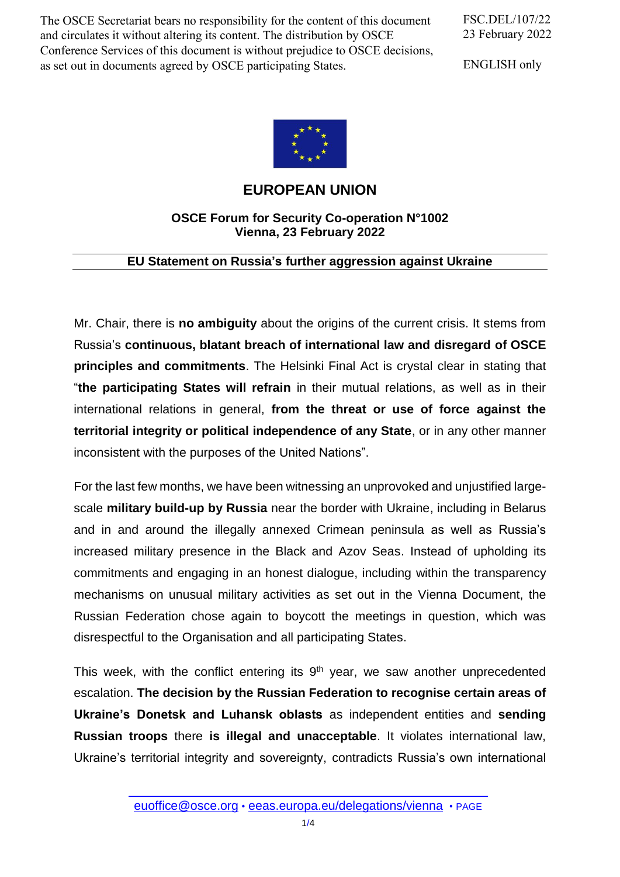The OSCE Secretariat bears no responsibility for the content of this document and circulates it without altering its content. The distribution by OSCE Conference Services of this document is without prejudice to OSCE decisions, as set out in documents agreed by OSCE participating States.

FSC.DEL/107/22 23 February 2022

ENGLISH only



## **EUROPEAN UNION**

## **OSCE Forum for Security Co-operation N°1002 Vienna, 23 February 2022**

## **EU Statement on Russia's further aggression against Ukraine**

Mr. Chair, there is **no ambiguity** about the origins of the current crisis. It stems from Russia's **continuous, blatant breach of international law and disregard of OSCE principles and commitments**. The Helsinki Final Act is crystal clear in stating that "**the participating States will refrain** in their mutual relations, as well as in their international relations in general, **from the threat or use of force against the territorial integrity or political independence of any State**, or in any other manner inconsistent with the purposes of the United Nations".

For the last few months, we have been witnessing an unprovoked and unjustified largescale **military build-up by Russia** near the border with Ukraine, including in Belarus and in and around the illegally annexed Crimean peninsula as well as Russia's increased military presence in the Black and Azov Seas. Instead of upholding its commitments and engaging in an honest dialogue, including within the transparency mechanisms on unusual military activities as set out in the Vienna Document, the Russian Federation chose again to boycott the meetings in question, which was disrespectful to the Organisation and all participating States.

This week, with the conflict entering its  $9<sup>th</sup>$  year, we saw another unprecedented escalation. **The decision by the Russian Federation to recognise certain areas of Ukraine's Donetsk and Luhansk oblasts** as independent entities and **sending Russian troops** there **is illegal and unacceptable**. It violates international law, Ukraine's territorial integrity and sovereignty, contradicts Russia's own international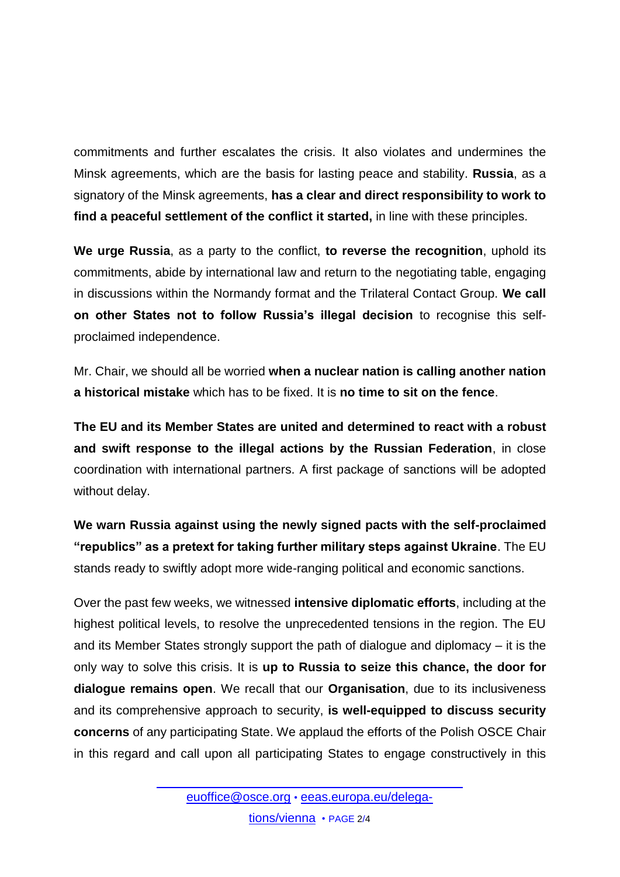commitments and further escalates the crisis. It also violates and undermines the Minsk agreements, which are the basis for lasting peace and stability. **Russia**, as a signatory of the Minsk agreements, **has a clear and direct responsibility to work to find a peaceful settlement of the conflict it started,** in line with these principles.

**We urge Russia**, as a party to the conflict, **to reverse the recognition**, uphold its commitments, abide by international law and return to the negotiating table, engaging in discussions within the Normandy format and the Trilateral Contact Group. **We call on other States not to follow Russia's illegal decision** to recognise this selfproclaimed independence.

Mr. Chair, we should all be worried **when a nuclear nation is calling another nation a historical mistake** which has to be fixed. It is **no time to sit on the fence**.

**The EU and its Member States are united and determined to react with a robust and swift response to the illegal actions by the Russian Federation**, in close coordination with international partners. A first package of sanctions will be adopted without delay.

**We warn Russia against using the newly signed pacts with the self-proclaimed "republics" as a pretext for taking further military steps against Ukraine**. The EU stands ready to swiftly adopt more wide-ranging political and economic sanctions.

Over the past few weeks, we witnessed **intensive diplomatic efforts**, including at the highest political levels, to resolve the unprecedented tensions in the region. The EU and its Member States strongly support the path of dialogue and diplomacy – it is the only way to solve this crisis. It is **up to Russia to seize this chance, the door for dialogue remains open**. We recall that our **Organisation**, due to its inclusiveness and its comprehensive approach to security, **is well-equipped to discuss security concerns** of any participating State. We applaud the efforts of the Polish OSCE Chair in this regard and call upon all participating States to engage constructively in this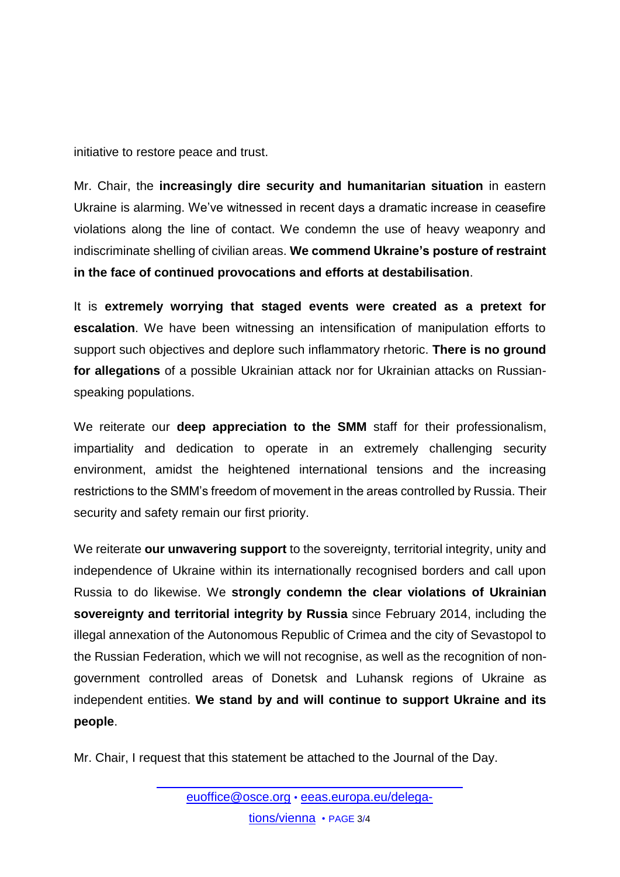initiative to restore peace and trust.

Mr. Chair, the **increasingly dire security and humanitarian situation** in eastern Ukraine is alarming. We've witnessed in recent days a dramatic increase in ceasefire violations along the line of contact. We condemn the use of heavy weaponry and indiscriminate shelling of civilian areas. **We commend Ukraine's posture of restraint in the face of continued provocations and efforts at destabilisation**.

It is **extremely worrying that staged events were created as a pretext for escalation**. We have been witnessing an intensification of manipulation efforts to support such objectives and deplore such inflammatory rhetoric. **There is no ground for allegations** of a possible Ukrainian attack nor for Ukrainian attacks on Russianspeaking populations.

We reiterate our **deep appreciation to the SMM** staff for their professionalism, impartiality and dedication to operate in an extremely challenging security environment, amidst the heightened international tensions and the increasing restrictions to the SMM's freedom of movement in the areas controlled by Russia. Their security and safety remain our first priority.

We reiterate **our unwavering support** to the sovereignty, territorial integrity, unity and independence of Ukraine within its internationally recognised borders and call upon Russia to do likewise. We **strongly condemn the clear violations of Ukrainian sovereignty and territorial integrity by Russia** since February 2014, including the illegal annexation of the Autonomous Republic of Crimea and the city of Sevastopol to the Russian Federation, which we will not recognise, as well as the recognition of nongovernment controlled areas of Donetsk and Luhansk regions of Ukraine as independent entities. **We stand by and will continue to support Ukraine and its people**.

Mr. Chair, I request that this statement be attached to the Journal of the Day.